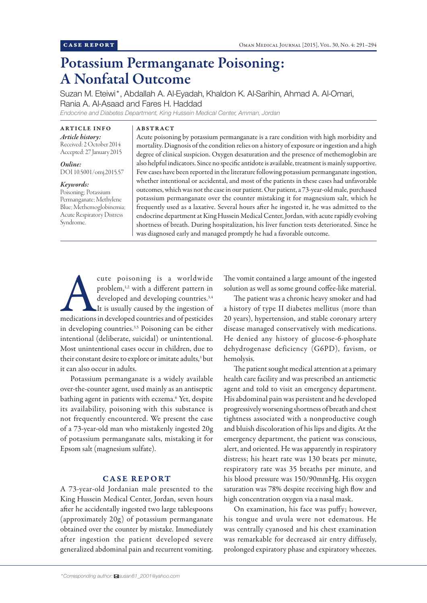# Potassium Permanganate Poisoning: A Nonfatal Outcome

Suzan M. Eteiwi\*, Abdallah A. Al-Eyadah, Khaldon K. Al-Sarihin, Ahmad A. Al-Omari, Rania A. Al-Asaad and Fares H. Haddad

*Endocrine and Diabetes Department, King Hussein Medical Center, Amman, Jordan*

ABSTRACT

ARTICLE INFO *Article history:*  Received: 2 October 2014 Accepted: 27 January 2015

*Online:* DOI 10.5001/omj.2015.57

#### *Keywords:*

Poisoning; Potassium Permanganate; Methylene Blue; Methemoglobinemia; Acute Respiratory Distress Syndrome.

Acute poisoning by potassium permanganate is a rare condition with high morbidity and mortality. Diagnosis of the condition relies on a history of exposure or ingestion and a high degree of clinical suspicion. Oxygen desaturation and the presence of methemoglobin are also helpful indicators. Since no specific antidote is available, treatment is mainly supportive. Few cases have been reported in the literature following potassium permanganate ingestion, whether intentional or accidental, and most of the patients in these cases had unfavorable outcomes, which was not the case in our patient. Our patient, a 73-year-old male, purchased potassium permanganate over the counter mistaking it for magnesium salt, which he frequently used as a laxative. Several hours after he ingested it, he was admitted to the endocrine department at King Hussein Medical Center, Jordan, with acute rapidly evolving shortness of breath. During hospitalization, his liver function tests deteriorated. Since he was diagnosed early and managed promptly he had a favorable outcome.

cute poisoning is a worldwide<br>
problem,<sup>1,2</sup> with a different pattern in<br>
developed and developing countries.<sup>3,4</sup><br>
It is usually caused by the ingestion of<br>
medications in developed countries and of pesticides problem,1,2 with a different pattern in developed and developing countries.<sup>3,4</sup> It is usually caused by the ingestion of in developing countries.<sup>3,5</sup> Poisoning can be either intentional (deliberate, suicidal) or unintentional. Most unintentional cases occur in children, due to their constant desire to explore or imitate adults,<sup>3</sup> but it can also occur in adults.

Potassium permanganate is a widely available over-the-counter agent, used mainly as an antiseptic bathing agent in patients with eczema.6 Yet, despite its availability, poisoning with this substance is not frequently encountered. We present the case of a 73-year-old man who mistakenly ingested 20g of potassium permanganate salts, mistaking it for Epsom salt (magnesium sulfate).

## CASE REPORT

A 73-year-old Jordanian male presented to the King Hussein Medical Center, Jordan, seven hours after he accidentally ingested two large tablespoons (approximately 20g) of potassium permanganate obtained over the counter by mistake. Immediately after ingestion the patient developed severe generalized abdominal pain and recurrent vomiting.

The vomit contained a large amount of the ingested solution as well as some ground coffee-like material.

The patient was a chronic heavy smoker and had a history of type II diabetes mellitus (more than 20 years), hypertension, and stable coronary artery disease managed conservatively with medications. He denied any history of glucose-6-phosphate dehydrogenase deficiency (G6PD), favism, or hemolysis.

The patient sought medical attention at a primary health care facility and was prescribed an antiemetic agent and told to visit an emergency department. His abdominal pain was persistent and he developed progressively worsening shortness of breath and chest tightness associated with a nonproductive cough and bluish discoloration of his lips and digits. At the emergency department, the patient was conscious, alert, and oriented. He was apparently in respiratory distress; his heart rate was 130 beats per minute, respiratory rate was 35 breaths per minute, and his blood pressure was 150/90mmHg. His oxygen saturation was 78% despite receiving high flow and high concentration oxygen via a nasal mask.

On examination, his face was puffy; however, his tongue and uvula were not edematous. He was centrally cyanosed and his chest examination was remarkable for decreased air entry diffusely, prolonged expiratory phase and expiratory wheezes.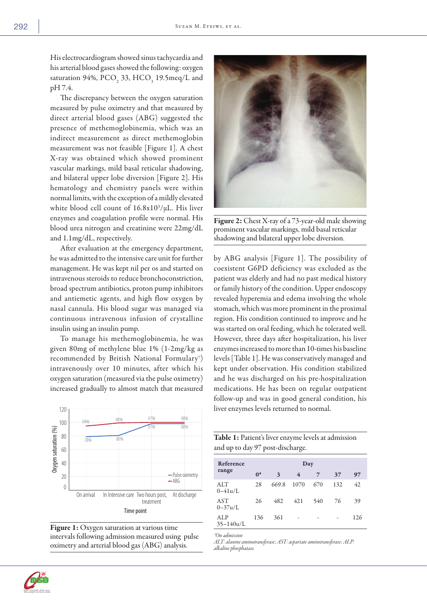His electrocardiogram showed sinus tachycardia and his arterial blood gases showed the following: oxygen saturation 94%,  $PCO<sub>2</sub>$  33,  $HCO<sub>3</sub>$  19.5meq/L and pH 7.4.

The discrepancy between the oxygen saturation measured by pulse oximetry and that measured by direct arterial blood gases (ABG) suggested the presence of methemoglobinemia, which was an indirect measurement as direct methemoglobin measurement was not feasible [Figure 1]. A chest X-ray was obtained which showed prominent vascular markings, mild basal reticular shadowing, and bilateral upper lobe diversion [Figure 2]. His hematology and chemistry panels were within normal limits, with the exception of a mildly elevated white blood cell count of 16.8x103 /µL. His liver enzymes and coagulation profile were normal. His blood urea nitrogen and creatinine were 22mg/dL and 1.1mg/dL, respectively.

After evaluation at the emergency department, he was admitted to the intensive care unit for further management. He was kept nil per os and started on intravenous steroids to reduce bronchoconstriction, broad spectrum antibiotics, proton pump inhibitors and antiemetic agents, and high flow oxygen by nasal cannula. His blood sugar was managed via continuous intravenous infusion of crystalline insulin using an insulin pump.

To manage his methemoglobinemia, he was given 80mg of methylene blue 1% (1-2mg/kg as recommended by British National Formulary7 ) intravenously over 10 minutes, after which his oxygen saturation (measured via the pulse oximetry) increased gradually to almost match that measured



Figure 1: Oxygen saturation at various time intervals following admission measured using pulse oximetry and arterial blood gas (ABG) analysis.

Figure 2: Chest X-ray of a 73-year-old male showing prominent vascular markings, mild basal reticular shadowing and bilateral upper lobe diversion.

by ABG analysis [Figure 1]. The possibility of coexistent G6PD deficiency was excluded as the patient was elderly and had no past medical history or family history of the condition. Upper endoscopy revealed hyperemia and edema involving the whole stomach, which was more prominent in the proximal region. His condition continued to improve and he was started on oral feeding, which he tolerated well. However, three days after hospitalization, his liver enzymes increased to more than 10-times his baseline levels [Table 1]. He was conservatively managed and kept under observation. His condition stabilized and he was discharged on his pre-hospitalization medications. He has been on regular outpatient follow-up and was in good general condition, his liver enzymes levels returned to normal.

| Table 1: Patient's liver enzyme levels at admission |  |
|-----------------------------------------------------|--|
| and up to day 97 post-discharge.                    |  |

| Reference<br>range   | $0^*$ | 3     | Day<br>4 | 7   | 37  | 97  |
|----------------------|-------|-------|----------|-----|-----|-----|
| ALT<br>$0 - 41u/L$   | 28    | 669.8 | 1070     | 670 | 132 | 42  |
| AST<br>$0 - 37u/L$   | 26    | 482   | 421      | 540 | 76  | 39  |
| ALP<br>$35 - 140u/L$ | 136   | 361   |          |     |     | 126 |

*\*On admission*

*ALT: alanine aminotransferase; AST: aspartate aminotransferase; ALP: alkaline phosphatase.*

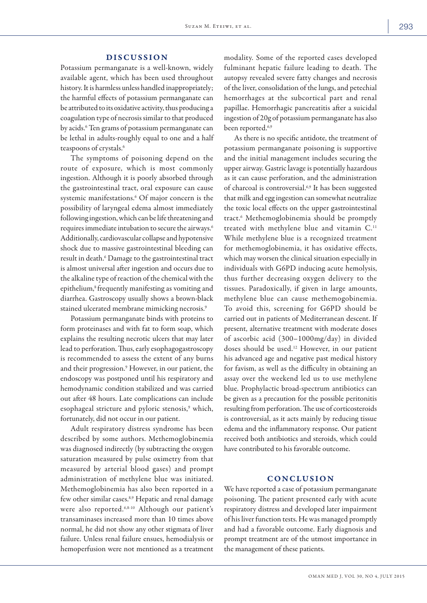### DISCUSSION

Potassium permanganate is a well-known, widely available agent, which has been used throughout history. It is harmless unless handled inappropriately; the harmful effects of potassium permanganate can be attributed to its oxidative activity, thus producing a coagulation type of necrosis similar to that produced by acids.<sup>6</sup> Ten grams of potassium permanganate can be lethal in adults-roughly equal to one and a half teaspoons of crystals.<sup>6</sup>

The symptoms of poisoning depend on the route of exposure, which is most commonly ingestion. Although it is poorly absorbed through the gastrointestinal tract, oral exposure can cause systemic manifestations.6 Of major concern is the possibility of laryngeal edema almost immediately following ingestion, which can be life threatening and requires immediate intubation to secure the airways.6 Additionally, cardiovascular collapse and hypotensive shock due to massive gastrointestinal bleeding can result in death.6 Damage to the gastrointestinal tract is almost universal after ingestion and occurs due to the alkaline type of reaction of the chemical with the epithelium,<sup>8</sup> frequently manifesting as vomiting and diarrhea. Gastroscopy usually shows a brown-black stained ulcerated membrane mimicking necrosis.9

Potassium permanganate binds with proteins to form proteinases and with fat to form soap, which explains the resulting necrotic ulcers that may later lead to perforation. Thus, early esophagogastroscopy is recommended to assess the extent of any burns and their progression.<sup>9</sup> However, in our patient, the endoscopy was postponed until his respiratory and hemodynamic condition stabilized and was carried out after 48 hours. Late complications can include esophageal stricture and pyloric stenosis,<sup>9</sup> which, fortunately, did not occur in our patient.

Adult respiratory distress syndrome has been described by some authors. Methemoglobinemia was diagnosed indirectly (by subtracting the oxygen saturation measured by pulse oximetry from that measured by arterial blood gases) and prompt administration of methylene blue was initiated. Methemoglobinemia has also been reported in a few other similar cases.<sup>8,9</sup> Hepatic and renal damage were also reported.6,8-10 Although our patient's transaminases increased more than 10 times above normal, he did not show any other stigmata of liver failure. Unless renal failure ensues, hemodialysis or hemoperfusion were not mentioned as a treatment

modality. Some of the reported cases developed fulminant hepatic failure leading to death. The autopsy revealed severe fatty changes and necrosis of the liver, consolidation of the lungs, and petechial hemorrhages at the subcortical part and renal papillae. Hemorrhagic pancreatitis after a suicidal ingestion of 20g of potassium permanganate has also been reported.<sup>6,9</sup>

As there is no specific antidote, the treatment of potassium permanganate poisoning is supportive and the initial management includes securing the upper airway. Gastric lavage is potentially hazardous as it can cause perforation, and the administration of charcoal is controversial.6,9 It has been suggested that milk and egg ingestion can somewhat neutralize the toxic local effects on the upper gastrointestinal tract.6 Methemoglobinemia should be promptly treated with methylene blue and vitamin C.11 While methylene blue is a recognized treatment for methemoglobinemia, it has oxidative effects, which may worsen the clinical situation especially in individuals with G6PD inducing acute hemolysis, thus further decreasing oxygen delivery to the tissues. Paradoxically, if given in large amounts, methylene blue can cause methemogobinemia. To avoid this, screening for G6PD should be carried out in patients of Mediterranean descent. If present, alternative treatment with moderate doses of ascorbic acid (300–1000mg/day) in divided doses should be used.12 However, in our patient his advanced age and negative past medical history for favism, as well as the difficulty in obtaining an assay over the weekend led us to use methylene blue. Prophylactic broad-spectrum antibiotics can be given as a precaution for the possible peritonitis resulting from perforation. The use of corticosteroids is controversial, as it acts mainly by reducing tissue edema and the inflammatory response. Our patient received both antibiotics and steroids, which could have contributed to his favorable outcome.

## CONCLUSION

We have reported a case of potassium permanganate poisoning. The patient presented early with acute respiratory distress and developed later impairment of his liver function tests. He was managed promptly and had a favorable outcome. Early diagnosis and prompt treatment are of the utmost importance in the management of these patients.